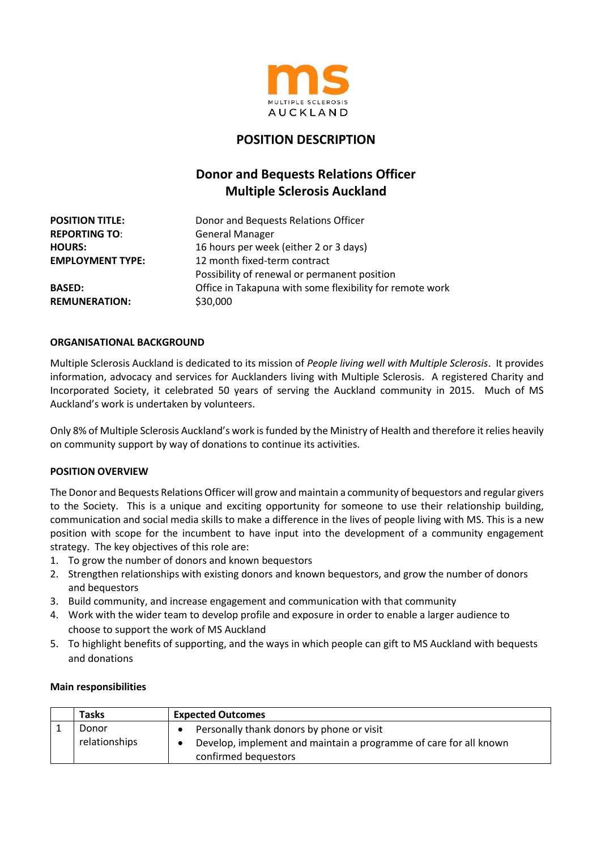

## **POSITION DESCRIPTION**

# **Donor and Bequests Relations Officer Multiple Sclerosis Auckland**

| <b>POSITION TITLE:</b>  | Donor and Bequests Relations Officer                     |
|-------------------------|----------------------------------------------------------|
| <b>REPORTING TO:</b>    | <b>General Manager</b>                                   |
| <b>HOURS:</b>           | 16 hours per week (either 2 or 3 days)                   |
| <b>EMPLOYMENT TYPE:</b> | 12 month fixed-term contract                             |
|                         | Possibility of renewal or permanent position             |
| <b>BASED:</b>           | Office in Takapuna with some flexibility for remote work |
| <b>REMUNERATION:</b>    | \$30,000                                                 |
|                         |                                                          |

#### **ORGANISATIONAL BACKGROUND**

Multiple Sclerosis Auckland is dedicated to its mission of *People living well with Multiple Sclerosis*. It provides information, advocacy and services for Aucklanders living with Multiple Sclerosis. A registered Charity and Incorporated Society, it celebrated 50 years of serving the Auckland community in 2015. Much of MS Auckland's work is undertaken by volunteers.

Only 8% of Multiple Sclerosis Auckland's work is funded by the Ministry of Health and therefore it relies heavily on community support by way of donations to continue its activities.

#### **POSITION OVERVIEW**

The Donor and Bequests Relations Officer will grow and maintain a community of bequestors and regular givers to the Society. This is a unique and exciting opportunity for someone to use their relationship building, communication and social media skills to make a difference in the lives of people living with MS. This is a new position with scope for the incumbent to have input into the development of a community engagement strategy. The key objectives of this role are:

- 1. To grow the number of donors and known bequestors
- 2. Strengthen relationships with existing donors and known bequestors, and grow the number of donors and bequestors
- 3. Build community, and increase engagement and communication with that community
- 4. Work with the wider team to develop profile and exposure in order to enable a larger audience to choose to support the work of MS Auckland
- 5. To highlight benefits of supporting, and the ways in which people can gift to MS Auckland with bequests and donations

#### **Main responsibilities**

| <b>Tasks</b>  | <b>Expected Outcomes</b>                                                                  |
|---------------|-------------------------------------------------------------------------------------------|
| Donor         | Personally thank donors by phone or visit                                                 |
| relationships | Develop, implement and maintain a programme of care for all known<br>confirmed bequestors |